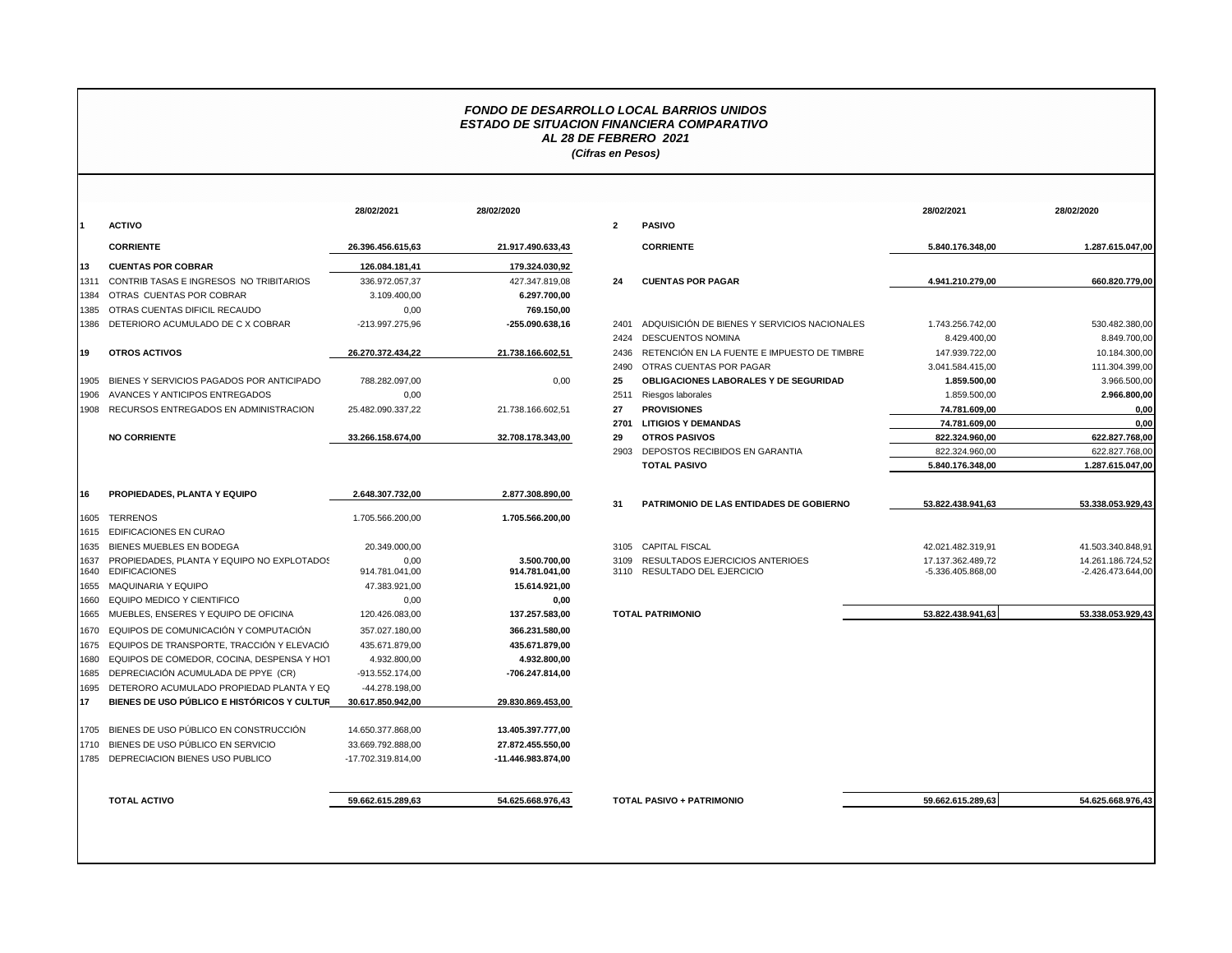## *FONDO DE DESARROLLO LOCAL BARRIOS UNIDOS ESTADO DE SITUACION FINANCIERA COMPARATIVO AL 28 DE FEBRERO 2021 (Cifras en Pesos)*

|                                             | 28/02/2021         | 28/02/2020         |                   |                                              | 28/02/2021                       | 28/02/2020          |
|---------------------------------------------|--------------------|--------------------|-------------------|----------------------------------------------|----------------------------------|---------------------|
|                                             |                    |                    | $\overline{2}$    | <b>PASIVO</b>                                |                                  |                     |
| <b>CORRIENTE</b>                            | 26.396.456.615,63  | 21.917.490.633,43  |                   | <b>CORRIENTE</b>                             | 5.840.176.348,00                 | 1.287.615.047,00    |
| <b>CUENTAS POR COBRAR</b>                   | 126.084.181.41     | 179.324.030.92     |                   |                                              |                                  |                     |
| CONTRIB TASAS E INGRESOS NO TRIBITARIOS     | 336.972.057,37     | 427.347.819,08     | 24                | <b>CUENTAS POR PAGAR</b>                     | 4.941.210.279,00                 | 660.820.779,00      |
| OTRAS CUENTAS POR COBRAR                    | 3.109.400,00       | 6.297.700,00       |                   |                                              |                                  |                     |
| OTRAS CUENTAS DIFICIL RECAUDO               | 0,00               | 769.150,00         |                   |                                              |                                  |                     |
| DETERIORO ACUMULADO DE C X COBRAR           | -213.997.275,96    | -255.090.638,16    | 2401              | ADQUISICIÓN DE BIENES Y SERVICIOS NACIONALES | 1.743.256.742.00                 | 530.482.380.00      |
|                                             |                    |                    | 2424              | <b>DESCUENTOS NOMINA</b>                     | 8.429.400,00                     | 8.849.700,00        |
| <b>OTROS ACTIVOS</b>                        | 26.270.372.434.22  | 21.738.166.602,51  | 2436              | RETENCIÓN EN LA FUENTE E IMPUESTO DE TIMBRE  | 147.939.722.00                   | 10.184.300,00       |
|                                             |                    |                    | 2490              | OTRAS CUENTAS POR PAGAR                      | 3.041.584.415,00                 | 111.304.399,00      |
| BIENES Y SERVICIOS PAGADOS POR ANTICIPADO   | 788.282.097.00     | 0.00               | 25                | <b>OBLIGACIONES LABORALES Y DE SEGURIDAD</b> | 1.859.500,00                     | 3.966.500,00        |
| AVANCES Y ANTICIPOS ENTREGADOS              | 0,00               |                    | 2511              | Riesgos laborales                            | 1.859.500,00                     | 2.966.800,00        |
| RECURSOS ENTREGADOS EN ADMINISTRACION       | 25.482.090.337,22  | 21.738.166.602.51  | 27                | <b>PROVISIONES</b>                           | 74.781.609.00                    | 0.00                |
|                                             |                    |                    | 2701              | <b>LITIGIOS Y DEMANDAS</b>                   | 74.781.609,00                    | 0.00                |
| <b>NO CORRIENTE</b>                         | 33.266.158.674.00  | 32.708.178.343,00  | 29                | <b>OTROS PASIVOS</b>                         | 822.324.960.00                   | 622.827.768.00      |
|                                             |                    |                    | 2903              | DEPOSTOS RECIBIDOS EN GARANTIA               | 822.324.960,00                   | 622.827.768,00      |
|                                             |                    |                    |                   | <b>TOTAL PASIVO</b>                          | 5.840.176.348,00                 | 1.287.615.047,00    |
| PROPIEDADES, PLANTA Y EQUIPO                | 2.648.307.732,00   | 2.877.308.890,00   |                   |                                              |                                  |                     |
|                                             |                    |                    | 31                | PATRIMONIO DE LAS ENTIDADES DE GOBIERNO      | 53.822.438.941,63                | 53.338.053.929,43   |
| <b>TERRENOS</b>                             | 1.705.566.200,00   | 1.705.566.200,00   |                   |                                              |                                  |                     |
| <b>EDIFICACIONES EN CURAO</b>               |                    |                    |                   |                                              |                                  |                     |
| BIENES MUEBLES EN BODEGA                    | 20.349.000,00      |                    | 3105              | <b>CAPITAL FISCAL</b>                        | 42.021.482.319,91                | 41.503.340.848,91   |
| PROPIEDADES, PLANTA Y EQUIPO NO EXPLOTADOS  | 0,00               | 3.500.700.00       | 3109              | RESULTADOS EJERCICIOS ANTERIOES              | 17.137.362.489,72                | 14.261.186.724,52   |
| <b>EDIFICACIONES</b>                        | 914.781.041,00     | 914.781.041,00     |                   | 3110 RESULTADO DEL EJERCICIO                 | -5.336.405.868,00                | $-2.426.473.644,00$ |
| <b>MAQUINARIA Y EQUIPO</b>                  | 47.383.921,00      | 15.614.921,00      |                   |                                              |                                  |                     |
| EQUIPO MEDICO Y CIENTIFICO                  | 0,00               | 0,00               |                   |                                              |                                  |                     |
| MUEBLES, ENSERES Y EQUIPO DE OFICINA        | 120.426.083,00     | 137.257.583,00     |                   | <b>TOTAL PATRIMONIO</b>                      | 53.822.438.941,63                | 53.338.053.929,43   |
| EQUIPOS DE COMUNICACIÓN Y COMPUTACIÓN       | 357.027.180,00     | 366.231.580,00     |                   |                                              |                                  |                     |
| EQUIPOS DE TRANSPORTE, TRACCIÓN Y ELEVACIÓ  | 435.671.879,00     | 435.671.879,00     |                   |                                              |                                  |                     |
| EQUIPOS DE COMEDOR, COCINA, DESPENSA Y HOT  | 4.932.800,00       | 4.932.800,00       |                   |                                              |                                  |                     |
| DEPRECIACIÓN ACUMULADA DE PPYE (CR)         | -913.552.174,00    | -706.247.814,00    |                   |                                              |                                  |                     |
| DETERORO ACUMULADO PROPIEDAD PLANTA Y EQ    | -44.278.198,00     |                    |                   |                                              |                                  |                     |
| BIENES DE USO PÚBLICO E HISTÓRICOS Y CULTUR | 30.617.850.942.00  | 29.830.869.453,00  |                   |                                              |                                  |                     |
| BIENES DE USO PÚBLICO EN CONSTRUCCIÓN       | 14.650.377.868,00  | 13.405.397.777,00  |                   |                                              |                                  |                     |
| BIENES DE USO PÚBLICO EN SERVICIO           | 33.669.792.888,00  | 27.872.455.550,00  |                   |                                              |                                  |                     |
| DEPRECIACION BIENES USO PUBLICO             | -17.702.319.814.00 | -11.446.983.874,00 |                   |                                              |                                  |                     |
|                                             |                    |                    |                   |                                              |                                  | 54.625.668.976.43   |
| <b>TOTAL ACTIVO</b>                         |                    | 59.662.615.289.63  | 54.625.668.976.43 |                                              | <b>TOTAL PASIVO + PATRIMONIO</b> | 59.662.615.289,63   |

|                                             | 28/02/2021         | 28/02/2020         |              |                                              | 28/02/2021        | 28/02/2020          |
|---------------------------------------------|--------------------|--------------------|--------------|----------------------------------------------|-------------------|---------------------|
| ACTIVO                                      |                    |                    | $\mathbf{2}$ | <b>PASIVO</b>                                |                   |                     |
| <b>CORRIENTE</b>                            | 26.396.456.615.63  | 21.917.490.633,43  |              | <b>CORRIENTE</b>                             | 5.840.176.348.00  | 1.287.615.047.00    |
| <b>CUENTAS POR COBRAR</b>                   | 126.084.181,41     | 179.324.030,92     |              |                                              |                   |                     |
| CONTRIB TASAS E INGRESOS NO TRIBITARIOS     | 336.972.057.37     | 427.347.819.08     | 24           | <b>CUENTAS POR PAGAR</b>                     | 4.941.210.279.00  | 660.820.779.00      |
| OTRAS CUENTAS POR COBRAR                    | 3.109.400,00       | 6.297.700,00       |              |                                              |                   |                     |
| OTRAS CUENTAS DIFICIL RECAUDO               | 0,00               | 769.150,00         |              |                                              |                   |                     |
| DETERIORO ACUMULADO DE C X COBRAR           | -213.997.275,96    | $-255.090.638,16$  | 2401         | ADQUISICIÓN DE BIENES Y SERVICIOS NACIONALES | 1.743.256.742,00  | 530.482.380,00      |
|                                             |                    |                    | 2424         | <b>DESCUENTOS NOMINA</b>                     | 8.429.400.00      | 8.849.700,00        |
| OTROS ACTIVOS                               | 26.270.372.434.22  | 21.738.166.602,51  | 2436         | RETENCIÓN EN LA FUENTE E IMPUESTO DE TIMBRE  | 147.939.722.00    | 10.184.300,00       |
|                                             |                    |                    | 2490         | OTRAS CUENTAS POR PAGAR                      | 3.041.584.415,00  | 111.304.399,00      |
| BIENES Y SERVICIOS PAGADOS POR ANTICIPADO   | 788.282.097,00     | 0,00               | 25           | OBLIGACIONES LABORALES Y DE SEGURIDAD        | 1.859.500,00      | 3.966.500,00        |
| AVANCES Y ANTICIPOS ENTREGADOS              | 0,00               |                    | 2511         | Riesgos laborales                            | 1.859.500,00      | 2.966.800,00        |
| RECURSOS ENTREGADOS EN ADMINISTRACION       | 25.482.090.337,22  | 21.738.166.602.51  | 27           | <b>PROVISIONES</b>                           | 74.781.609.00     | 0,00                |
|                                             |                    |                    | 2701         | <b>LITIGIOS Y DEMANDAS</b>                   | 74.781.609,00     | 0,00                |
| <b>NO CORRIENTE</b>                         | 33.266.158.674,00  | 32.708.178.343,00  | 29           | <b>OTROS PASIVOS</b>                         | 822.324.960.00    | 622.827.768.00      |
|                                             |                    |                    | 2903         | DEPOSTOS RECIBIDOS EN GARANTIA               | 822.324.960,00    | 622.827.768,00      |
|                                             |                    |                    |              | <b>TOTAL PASIVO</b>                          | 5.840.176.348.00  | 1.287.615.047,00    |
|                                             |                    |                    |              |                                              |                   |                     |
| PROPIEDADES. PLANTA Y EQUIPO                | 2.648.307.732.00   | 2.877.308.890,00   | 31           | PATRIMONIO DE LAS ENTIDADES DE GOBIERNO      | 53.822.438.941.63 | 53.338.053.929.43   |
| <b>TERRENOS</b>                             | 1.705.566.200,00   | 1.705.566.200,00   |              |                                              |                   |                     |
| EDIFICACIONES EN CURAO                      |                    |                    |              |                                              |                   |                     |
| BIENES MUEBLES EN BODEGA                    | 20.349.000,00      |                    |              | 3105 CAPITAL FISCAL                          | 42.021.482.319.91 | 41.503.340.848.91   |
| PROPIEDADES, PLANTA Y EQUIPO NO EXPLOTADOS  | 0,00               | 3.500.700.00       |              | 3109 RESULTADOS EJERCICIOS ANTERIOES         | 17.137.362.489,72 | 14.261.186.724,52   |
| <b>EDIFICACIONES</b>                        | 914.781.041,00     | 914.781.041,00     |              | 3110 RESULTADO DEL EJERCICIO                 | -5.336.405.868,00 | $-2.426.473.644,00$ |
| MAQUINARIA Y EQUIPO                         | 47.383.921.00      | 15.614.921.00      |              |                                              |                   |                     |
| EQUIPO MEDICO Y CIENTIFICO                  | 0,00               | 0,00               |              |                                              |                   |                     |
| MUEBLES, ENSERES Y EQUIPO DE OFICINA        | 120.426.083,00     | 137.257.583,00     |              | <b>TOTAL PATRIMONIO</b>                      | 53.822.438.941.63 | 53.338.053.929.43   |
| EQUIPOS DE COMUNICACIÓN Y COMPUTACIÓN       | 357.027.180,00     | 366.231.580,00     |              |                                              |                   |                     |
| EQUIPOS DE TRANSPORTE, TRACCIÓN Y ELEVACIÓ  | 435.671.879,00     | 435.671.879,00     |              |                                              |                   |                     |
| EQUIPOS DE COMEDOR, COCINA, DESPENSA Y HOT  | 4.932.800.00       | 4.932.800.00       |              |                                              |                   |                     |
| DEPRECIACIÓN ACUMULADA DE PPYE (CR)         | -913.552.174,00    | -706.247.814,00    |              |                                              |                   |                     |
| DETERORO ACUMULADO PROPIEDAD PLANTA Y EQ    | -44.278.198,00     |                    |              |                                              |                   |                     |
| BIENES DE USO PÚBLICO E HISTÓRICOS Y CULTUR | 30.617.850.942,00  | 29.830.869.453,00  |              |                                              |                   |                     |
| BIENES DE USO PÚBLICO EN CONSTRUCCIÓN       | 14.650.377.868.00  | 13.405.397.777,00  |              |                                              |                   |                     |
| BIENES DE USO PÚBLICO EN SERVICIO           | 33.669.792.888,00  | 27.872.455.550,00  |              |                                              |                   |                     |
| DEPRECIACION BIENES USO PUBLICO             | -17.702.319.814,00 | -11.446.983.874,00 |              |                                              |                   |                     |
|                                             |                    |                    |              |                                              |                   |                     |
|                                             | 59.662.615.289.63  | 54.625.668.976,43  |              | <b>TOTAL PASIVO + PATRIMONIO</b>             | 59.662.615.289.63 | 54.625.668.976,43   |
| TOTAL ACTIVO                                |                    |                    |              |                                              |                   |                     |